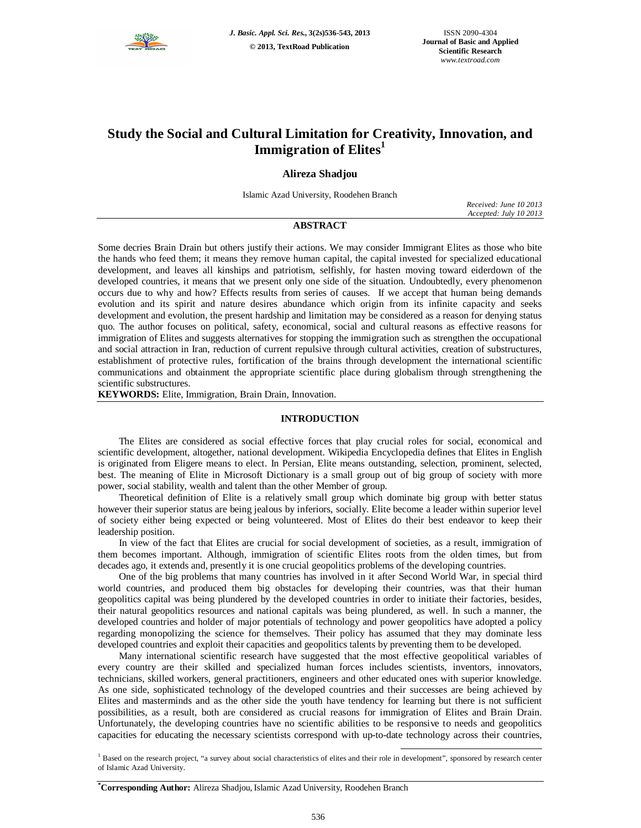

# **Study the Social and Cultural Limitation for Creativity, Innovation, and Immigration of Elites<sup>1</sup>**

# **Alireza Shadjou**

Islamic Azad University, Roodehen Branch

*Received: June 10 2013 Accepted: July 10 2013*

# **ABSTRACT**

Some decries Brain Drain but others justify their actions. We may consider Immigrant Elites as those who bite the hands who feed them; it means they remove human capital, the capital invested for specialized educational development, and leaves all kinships and patriotism, selfishly, for hasten moving toward eiderdown of the developed countries, it means that we present only one side of the situation. Undoubtedly, every phenomenon occurs due to why and how? Effects results from series of causes. If we accept that human being demands evolution and its spirit and nature desires abundance which origin from its infinite capacity and seeks development and evolution, the present hardship and limitation may be considered as a reason for denying status quo. The author focuses on political, safety, economical, social and cultural reasons as effective reasons for immigration of Elites and suggests alternatives for stopping the immigration such as strengthen the occupational and social attraction in Iran, reduction of current repulsive through cultural activities, creation of substructures, establishment of protective rules, fortification of the brains through development the international scientific communications and obtainment the appropriate scientific place during globalism through strengthening the scientific substructures.

**KEYWORDS:** Elite, Immigration, Brain Drain, Innovation.

# **INTRODUCTION**

The Elites are considered as social effective forces that play crucial roles for social, economical and scientific development, altogether, national development. Wikipedia Encyclopedia defines that Elites in English is originated from Eligere means to elect. In Persian, Elite means outstanding, selection, prominent, selected, best. The meaning of Elite in Microsoft Dictionary is a small group out of big group of society with more power, social stability, wealth and talent than the other Member of group.

Theoretical definition of Elite is a relatively small group which dominate big group with better status however their superior status are being jealous by inferiors, socially. Elite become a leader within superior level of society either being expected or being volunteered. Most of Elites do their best endeavor to keep their leadership position.

In view of the fact that Elites are crucial for social development of societies, as a result, immigration of them becomes important. Although, immigration of scientific Elites roots from the olden times, but from decades ago, it extends and, presently it is one crucial geopolitics problems of the developing countries.

One of the big problems that many countries has involved in it after Second World War, in special third world countries, and produced them big obstacles for developing their countries, was that their human geopolitics capital was being plundered by the developed countries in order to initiate their factories, besides, their natural geopolitics resources and national capitals was being plundered, as well. In such a manner, the developed countries and holder of major potentials of technology and power geopolitics have adopted a policy regarding monopolizing the science for themselves. Their policy has assumed that they may dominate less developed countries and exploit their capacities and geopolitics talents by preventing them to be developed.

Many international scientific research have suggested that the most effective geopolitical variables of every country are their skilled and specialized human forces includes scientists, inventors, innovators, technicians, skilled workers, general practitioners, engineers and other educated ones with superior knowledge. As one side, sophisticated technology of the developed countries and their successes are being achieved by Elites and masterminds and as the other side the youth have tendency for learning but there is not sufficient possibilities, as a result, both are considered as crucial reasons for immigration of Elites and Brain Drain. Unfortunately, the developing countries have no scientific abilities to be responsive to needs and geopolitics capacities for educating the necessary scientists correspond with up-to-date technology across their countries,

# **\*Corresponding Author:** Alireza Shadjou, Islamic Azad University, Roodehen Branch

 $\overline{a}$ <sup>1</sup> Based on the research project, "a survey about social characteristics of elites and their role in development", sponsored by research center of Islamic Azad University.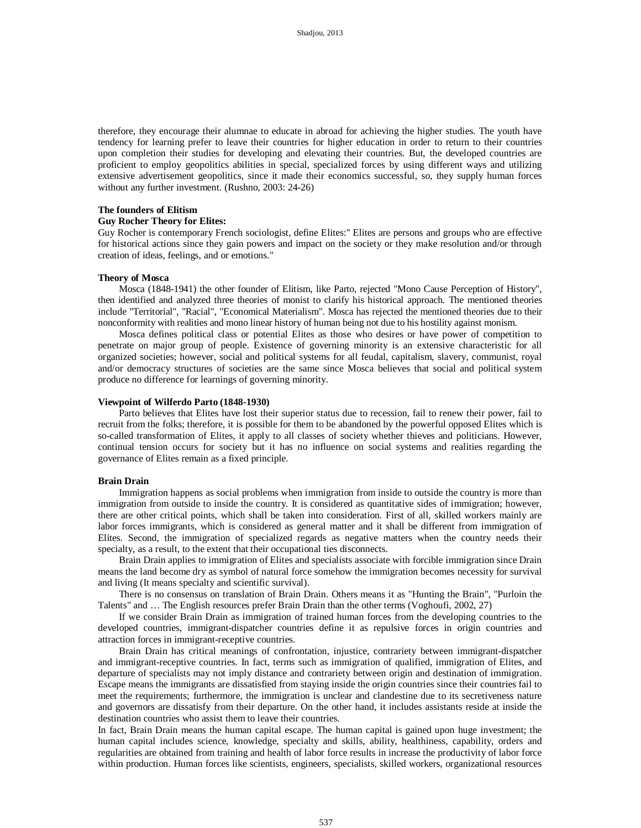therefore, they encourage their alumnae to educate in abroad for achieving the higher studies. The youth have tendency for learning prefer to leave their countries for higher education in order to return to their countries upon completion their studies for developing and elevating their countries. But, the developed countries are proficient to employ geopolitics abilities in special, specialized forces by using different ways and utilizing extensive advertisement geopolitics, since it made their economics successful, so, they supply human forces without any further investment. (Rushno, 2003: 24-26)

## **The founders of Elitism**

## **Guy Rocher Theory for Elites:**

Guy Rocher is contemporary French sociologist, define Elites:" Elites are persons and groups who are effective for historical actions since they gain powers and impact on the society or they make resolution and/or through creation of ideas, feelings, and or emotions."

#### **Theory of Mosca**

Mosca (1848-1941) the other founder of Elitism, like Parto, rejected "Mono Cause Perception of History", then identified and analyzed three theories of monist to clarify his historical approach. The mentioned theories include "Territorial", "Racial", "Economical Materialism". Mosca has rejected the mentioned theories due to their nonconformity with realities and mono linear history of human being not due to his hostility against monism.

Mosca defines political class or potential Elites as those who desires or have power of competition to penetrate on major group of people. Existence of governing minority is an extensive characteristic for all organized societies; however, social and political systems for all feudal, capitalism, slavery, communist, royal and/or democracy structures of societies are the same since Mosca believes that social and political system produce no difference for learnings of governing minority.

#### **Viewpoint of Wilferdo Parto (1848-1930)**

Parto believes that Elites have lost their superior status due to recession, fail to renew their power, fail to recruit from the folks; therefore, it is possible for them to be abandoned by the powerful opposed Elites which is so-called transformation of Elites, it apply to all classes of society whether thieves and politicians. However, continual tension occurs for society but it has no influence on social systems and realities regarding the governance of Elites remain as a fixed principle.

#### **Brain Drain**

Immigration happens as social problems when immigration from inside to outside the country is more than immigration from outside to inside the country. It is considered as quantitative sides of immigration; however, there are other critical points, which shall be taken into consideration. First of all, skilled workers mainly are labor forces immigrants, which is considered as general matter and it shall be different from immigration of Elites. Second, the immigration of specialized regards as negative matters when the country needs their specialty, as a result, to the extent that their occupational ties disconnects.

Brain Drain applies to immigration of Elites and specialists associate with forcible immigration since Drain means the land become dry as symbol of natural force somehow the immigration becomes necessity for survival and living (It means specialty and scientific survival).

There is no consensus on translation of Brain Drain. Others means it as "Hunting the Brain", "Purloin the Talents" and … The English resources prefer Brain Drain than the other terms (Voghoufi, 2002, 27)

If we consider Brain Drain as immigration of trained human forces from the developing countries to the developed countries, immigrant-dispatcher countries define it as repulsive forces in origin countries and attraction forces in immigrant-receptive countries.

Brain Drain has critical meanings of confrontation, injustice, contrariety between immigrant-dispatcher and immigrant-receptive countries. In fact, terms such as immigration of qualified, immigration of Elites, and departure of specialists may not imply distance and contrariety between origin and destination of immigration. Escape means the immigrants are dissatisfied from staying inside the origin countries since their countries fail to meet the requirements; furthermore, the immigration is unclear and clandestine due to its secretiveness nature and governors are dissatisfy from their departure. On the other hand, it includes assistants reside at inside the destination countries who assist them to leave their countries.

In fact, Brain Drain means the human capital escape. The human capital is gained upon huge investment; the human capital includes science, knowledge, specialty and skills, ability, healthiness, capability, orders and regularities are obtained from training and health of labor force results in increase the productivity of labor force within production. Human forces like scientists, engineers, specialists, skilled workers, organizational resources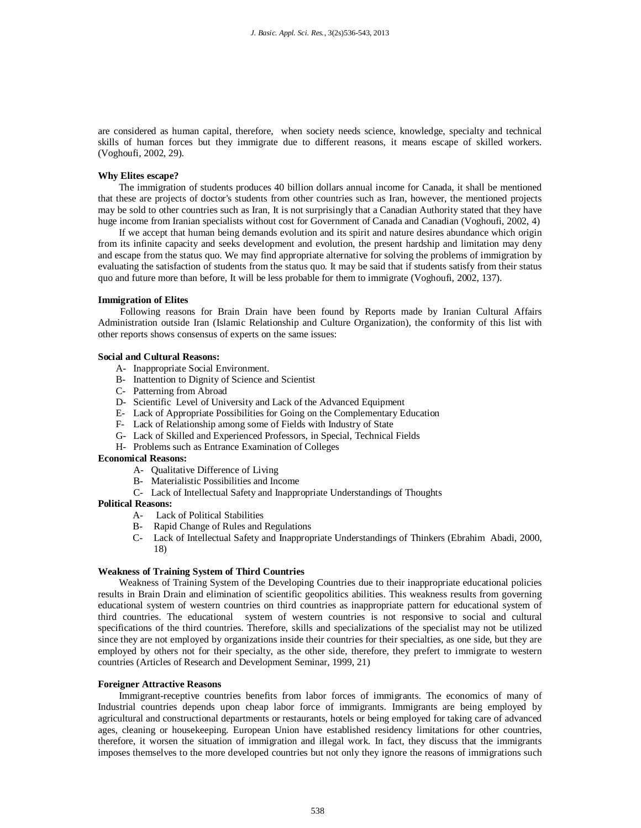are considered as human capital, therefore, when society needs science, knowledge, specialty and technical skills of human forces but they immigrate due to different reasons, it means escape of skilled workers. (Voghoufi, 2002, 29).

#### **Why Elites escape?**

The immigration of students produces 40 billion dollars annual income for Canada, it shall be mentioned that these are projects of doctor's students from other countries such as Iran, however, the mentioned projects may be sold to other countries such as Iran, It is not surprisingly that a Canadian Authority stated that they have huge income from Iranian specialists without cost for Government of Canada and Canadian (Voghoufi, 2002, 4)

If we accept that human being demands evolution and its spirit and nature desires abundance which origin from its infinite capacity and seeks development and evolution, the present hardship and limitation may deny and escape from the status quo. We may find appropriate alternative for solving the problems of immigration by evaluating the satisfaction of students from the status quo. It may be said that if students satisfy from their status quo and future more than before, It will be less probable for them to immigrate (Voghoufi, 2002, 137).

#### **Immigration of Elites**

Following reasons for Brain Drain have been found by Reports made by Iranian Cultural Affairs Administration outside Iran (Islamic Relationship and Culture Organization), the conformity of this list with other reports shows consensus of experts on the same issues:

## **Social and Cultural Reasons:**

- A- Inappropriate Social Environment.
- B- Inattention to Dignity of Science and Scientist
- C- Patterning from Abroad
- D- Scientific Level of University and Lack of the Advanced Equipment
- E- Lack of Appropriate Possibilities for Going on the Complementary Education
- F- Lack of Relationship among some of Fields with Industry of State
- G- Lack of Skilled and Experienced Professors, in Special, Technical Fields
- H- Problems such as Entrance Examination of Colleges

# **Economical Reasons:**

- A- Qualitative Difference of Living
- B- Materialistic Possibilities and Income
- C- Lack of Intellectual Safety and Inappropriate Understandings of Thoughts

# **Political Reasons:**

- A- Lack of Political Stabilities
- B- Rapid Change of Rules and Regulations
- C- Lack of Intellectual Safety and Inappropriate Understandings of Thinkers (Ebrahim Abadi, 2000, 18)

#### **Weakness of Training System of Third Countries**

Weakness of Training System of the Developing Countries due to their inappropriate educational policies results in Brain Drain and elimination of scientific geopolitics abilities. This weakness results from governing educational system of western countries on third countries as inappropriate pattern for educational system of third countries. The educational system of western countries is not responsive to social and cultural specifications of the third countries. Therefore, skills and specializations of the specialist may not be utilized since they are not employed by organizations inside their countries for their specialties, as one side, but they are employed by others not for their specialty, as the other side, therefore, they prefert to immigrate to western countries (Articles of Research and Development Seminar, 1999, 21)

#### **Foreigner Attractive Reasons**

Immigrant-receptive countries benefits from labor forces of immigrants. The economics of many of Industrial countries depends upon cheap labor force of immigrants. Immigrants are being employed by agricultural and constructional departments or restaurants, hotels or being employed for taking care of advanced ages, cleaning or housekeeping. European Union have established residency limitations for other countries, therefore, it worsen the situation of immigration and illegal work. In fact, they discuss that the immigrants imposes themselves to the more developed countries but not only they ignore the reasons of immigrations such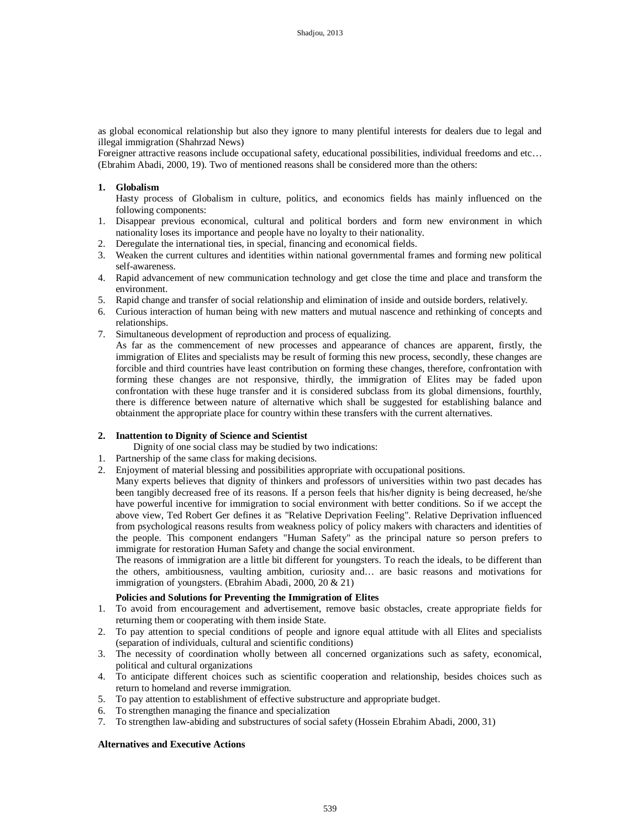as global economical relationship but also they ignore to many plentiful interests for dealers due to legal and illegal immigration (Shahrzad News)

Foreigner attractive reasons include occupational safety, educational possibilities, individual freedoms and etc… (Ebrahim Abadi, 2000, 19). Two of mentioned reasons shall be considered more than the others:

# **1. Globalism**

Hasty process of Globalism in culture, politics, and economics fields has mainly influenced on the following components:

- 1. Disappear previous economical, cultural and political borders and form new environment in which nationality loses its importance and people have no loyalty to their nationality.
- 2. Deregulate the international ties, in special, financing and economical fields.
- 3. Weaken the current cultures and identities within national governmental frames and forming new political self-awareness.
- 4. Rapid advancement of new communication technology and get close the time and place and transform the environment.
- 5. Rapid change and transfer of social relationship and elimination of inside and outside borders, relatively.
- 6. Curious interaction of human being with new matters and mutual nascence and rethinking of concepts and relationships.
- 7. Simultaneous development of reproduction and process of equalizing.
	- As far as the commencement of new processes and appearance of chances are apparent, firstly, the immigration of Elites and specialists may be result of forming this new process, secondly, these changes are forcible and third countries have least contribution on forming these changes, therefore, confrontation with forming these changes are not responsive, thirdly, the immigration of Elites may be faded upon confrontation with these huge transfer and it is considered subclass from its global dimensions, fourthly, there is difference between nature of alternative which shall be suggested for establishing balance and obtainment the appropriate place for country within these transfers with the current alternatives.

## **2. Inattention to Dignity of Science and Scientist**

Dignity of one social class may be studied by two indications:

- 1. Partnership of the same class for making decisions.
- 2. Enjoyment of material blessing and possibilities appropriate with occupational positions.
	- Many experts believes that dignity of thinkers and professors of universities within two past decades has been tangibly decreased free of its reasons. If a person feels that his/her dignity is being decreased, he/she have powerful incentive for immigration to social environment with better conditions. So if we accept the above view, Ted Robert Ger defines it as "Relative Deprivation Feeling". Relative Deprivation influenced from psychological reasons results from weakness policy of policy makers with characters and identities of the people. This component endangers "Human Safety" as the principal nature so person prefers to immigrate for restoration Human Safety and change the social environment.

The reasons of immigration are a little bit different for youngsters. To reach the ideals, to be different than the others, ambitiousness, vaulting ambition, curiosity and… are basic reasons and motivations for immigration of youngsters. (Ebrahim Abadi, 2000, 20 & 21)

# **Policies and Solutions for Preventing the Immigration of Elites**

- 1. To avoid from encouragement and advertisement, remove basic obstacles, create appropriate fields for returning them or cooperating with them inside State.
- 2. To pay attention to special conditions of people and ignore equal attitude with all Elites and specialists (separation of individuals, cultural and scientific conditions)
- 3. The necessity of coordination wholly between all concerned organizations such as safety, economical, political and cultural organizations
- 4. To anticipate different choices such as scientific cooperation and relationship, besides choices such as return to homeland and reverse immigration.
- 5. To pay attention to establishment of effective substructure and appropriate budget.
- 6. To strengthen managing the finance and specialization
- 7. To strengthen law-abiding and substructures of social safety (Hossein Ebrahim Abadi, 2000, 31)

### **Alternatives and Executive Actions**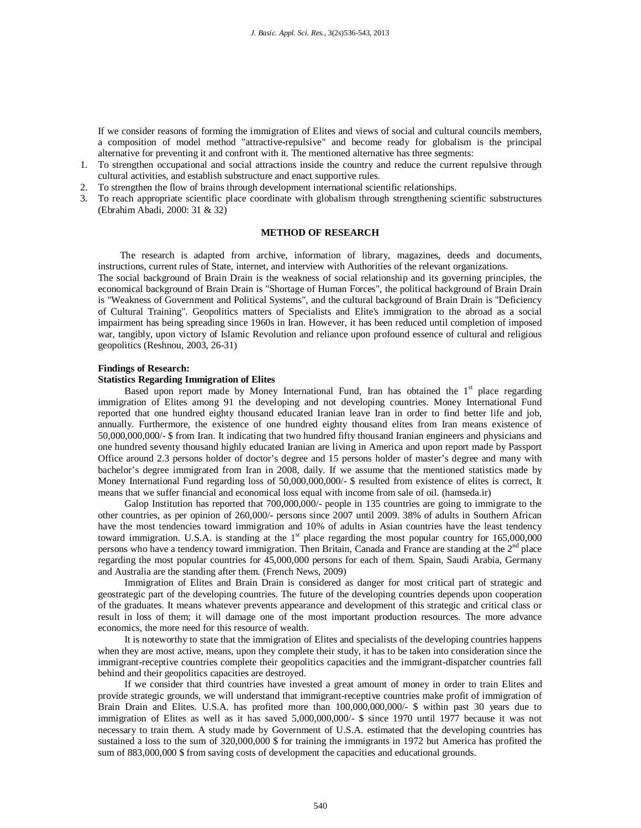If we consider reasons of forming the immigration of Elites and views of social and cultural councils members, a composition of model method "attractive-repulsive" and become ready for globalism is the principal alternative for preventing it and confront with it. The mentioned alternative has three segments:

- 1. To strengthen occupational and social attractions inside the country and reduce the current repulsive through cultural activities, and establish substructure and enact supportive rules.
- 2. To strengthen the flow of brains through development international scientific relationships.
- 3. To reach appropriate scientific place coordinate with globalism through strengthening scientific substructures (Ebrahim Abadi, 2000: 31 & 32)

## **METHOD OF RESEARCH**

The research is adapted from archive, information of library, magazines, deeds and documents, instructions, current rules of State, internet, and interview with Authorities of the relevant organizations.

The social background of Brain Drain is the weakness of social relationship and its governing principles, the economical background of Brain Drain is "Shortage of Human Forces", the political background of Brain Drain is "Weakness of Government and Political Systems", and the cultural background of Brain Drain is "Deficiency of Cultural Training". Geopolitics matters of Specialists and Elite's immigration to the abroad as a social impairment has being spreading since 1960s in Iran. However, it has been reduced until completion of imposed war, tangibly, upon victory of Islamic Revolution and reliance upon profound essence of cultural and religious geopolitics (Reshnou, 2003, 26-31)

#### **Findings of Research:**

#### **Statistics Regarding Immigration of Elites**

Based upon report made by Money International Fund, Iran has obtained the  $1<sup>st</sup>$  place regarding immigration of Elites among 91 the developing and not developing countries. Money International Fund reported that one hundred eighty thousand educated Iranian leave Iran in order to find better life and job, annually. Furthermore, the existence of one hundred eighty thousand elites from Iran means existence of 50,000,000,000/- \$ from Iran. It indicating that two hundred fifty thousand Iranian engineers and physicians and one hundred seventy thousand highly educated Iranian are living in America and upon report made by Passport Office around 2.3 persons holder of doctor's degree and 15 persons holder of master's degree and many with bachelor's degree immigrated from Iran in 2008, daily. If we assume that the mentioned statistics made by Money International Fund regarding loss of 50,000,000,000/- \$ resulted from existence of elites is correct, It means that we suffer financial and economical loss equal with income from sale of oil. (hamseda.ir)

Galop Institution has reported that 700,000,000/- people in 135 countries are going to immigrate to the other countries, as per opinion of 260,000/- persons since 2007 until 2009. 38% of adults in Southern African have the most tendencies toward immigration and 10% of adults in Asian countries have the least tendency toward immigration. U.S.A. is standing at the  $1<sup>st</sup>$  place regarding the most popular country for  $165,000,000$ persons who have a tendency toward immigration. Then Britain, Canada and France are standing at the 2<sup>nd</sup> place regarding the most popular countries for 45,000,000 persons for each of them. Spain, Saudi Arabia, Germany and Australia are the standing after them. (French News, 2009)

Immigration of Elites and Brain Drain is considered as danger for most critical part of strategic and geostrategic part of the developing countries. The future of the developing countries depends upon cooperation of the graduates. It means whatever prevents appearance and development of this strategic and critical class or result in loss of them; it will damage one of the most important production resources. The more advance economics, the more need for this resource of wealth.

It is noteworthy to state that the immigration of Elites and specialists of the developing countries happens when they are most active, means, upon they complete their study, it has to be taken into consideration since the immigrant-receptive countries complete their geopolitics capacities and the immigrant-dispatcher countries fall behind and their geopolitics capacities are destroyed.

If we consider that third countries have invested a great amount of money in order to train Elites and provide strategic grounds, we will understand that immigrant-receptive countries make profit of immigration of Brain Drain and Elites. U.S.A. has profited more than 100,000,000,000/- \$ within past 30 years due to immigration of Elites as well as it has saved 5,000,000,000/- \$ since 1970 until 1977 because it was not necessary to train them. A study made by Government of U.S.A. estimated that the developing countries has sustained a loss to the sum of 320,000,000 \$ for training the immigrants in 1972 but America has profited the sum of 883,000,000 \$ from saving costs of development the capacities and educational grounds.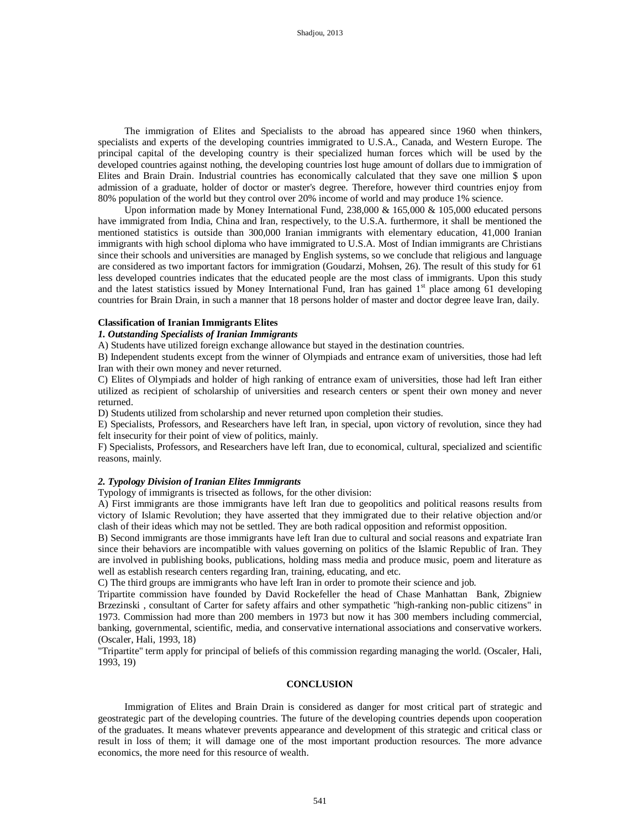The immigration of Elites and Specialists to the abroad has appeared since 1960 when thinkers, specialists and experts of the developing countries immigrated to U.S.A., Canada, and Western Europe. The principal capital of the developing country is their specialized human forces which will be used by the developed countries against nothing, the developing countries lost huge amount of dollars due to immigration of Elites and Brain Drain. Industrial countries has economically calculated that they save one million \$ upon admission of a graduate, holder of doctor or master's degree. Therefore, however third countries enjoy from 80% population of the world but they control over 20% income of world and may produce 1% science.

Upon information made by Money International Fund, 238,000 & 165,000 & 105,000 educated persons have immigrated from India, China and Iran, respectively, to the U.S.A. furthermore, it shall be mentioned the mentioned statistics is outside than 300,000 Iranian immigrants with elementary education, 41,000 Iranian immigrants with high school diploma who have immigrated to U.S.A. Most of Indian immigrants are Christians since their schools and universities are managed by English systems, so we conclude that religious and language are considered as two important factors for immigration (Goudarzi, Mohsen, 26). The result of this study for 61 less developed countries indicates that the educated people are the most class of immigrants. Upon this study and the latest statistics issued by Money International Fund, Iran has gained  $1<sup>st</sup>$  place among 61 developing countries for Brain Drain, in such a manner that 18 persons holder of master and doctor degree leave Iran, daily.

## **Classification of Iranian Immigrants Elites**

# *1. Outstanding Specialists of Iranian Immigrants*

A) Students have utilized foreign exchange allowance but stayed in the destination countries.

B) Independent students except from the winner of Olympiads and entrance exam of universities, those had left Iran with their own money and never returned.

C) Elites of Olympiads and holder of high ranking of entrance exam of universities, those had left Iran either utilized as recipient of scholarship of universities and research centers or spent their own money and never returned.

D) Students utilized from scholarship and never returned upon completion their studies.

E) Specialists, Professors, and Researchers have left Iran, in special, upon victory of revolution, since they had felt insecurity for their point of view of politics, mainly.

F) Specialists, Professors, and Researchers have left Iran, due to economical, cultural, specialized and scientific reasons, mainly.

## *2. Typology Division of Iranian Elites Immigrants*

Typology of immigrants is trisected as follows, for the other division:

A) First immigrants are those immigrants have left Iran due to geopolitics and political reasons results from victory of Islamic Revolution; they have asserted that they immigrated due to their relative objection and/or clash of their ideas which may not be settled. They are both radical opposition and reformist opposition.

B) Second immigrants are those immigrants have left Iran due to cultural and social reasons and expatriate Iran since their behaviors are incompatible with values governing on politics of the Islamic Republic of Iran. They are involved in publishing books, publications, holding mass media and produce music, poem and literature as well as establish research centers regarding Iran, training, educating, and etc.

C) The third groups are immigrants who have left Iran in order to promote their science and job.

Tripartite commission have founded by David Rockefeller the head of Chase Manhattan Bank, Zbigniew Brzezinski , consultant of Carter for safety affairs and other sympathetic "high-ranking non-public citizens" in 1973. Commission had more than 200 members in 1973 but now it has 300 members including commercial, banking, governmental, scientific, media, and conservative international associations and conservative workers. (Oscaler, Hali, 1993, 18)

"Tripartite" term apply for principal of beliefs of this commission regarding managing the world. (Oscaler, Hali, 1993, 19)

## **CONCLUSION**

Immigration of Elites and Brain Drain is considered as danger for most critical part of strategic and geostrategic part of the developing countries. The future of the developing countries depends upon cooperation of the graduates. It means whatever prevents appearance and development of this strategic and critical class or result in loss of them; it will damage one of the most important production resources. The more advance economics, the more need for this resource of wealth.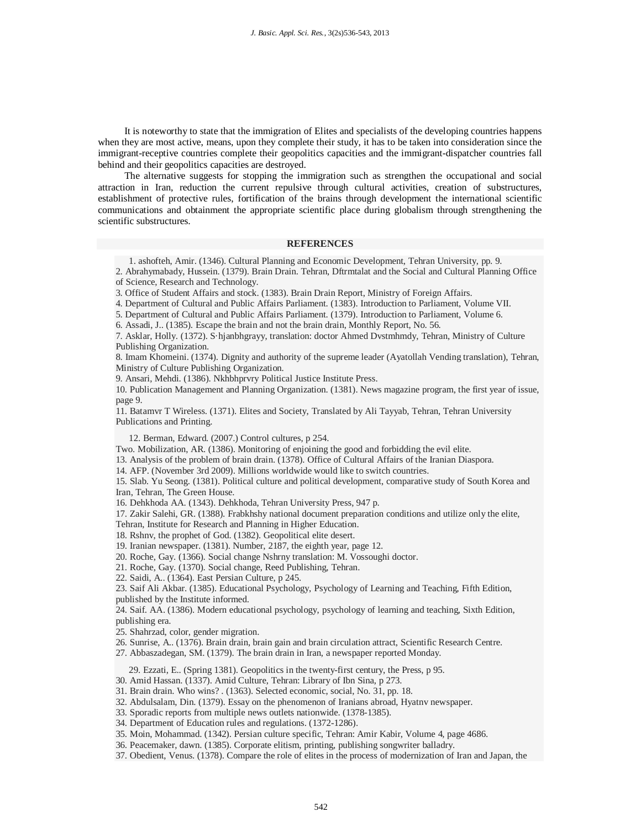It is noteworthy to state that the immigration of Elites and specialists of the developing countries happens when they are most active, means, upon they complete their study, it has to be taken into consideration since the immigrant-receptive countries complete their geopolitics capacities and the immigrant-dispatcher countries fall behind and their geopolitics capacities are destroyed.

The alternative suggests for stopping the immigration such as strengthen the occupational and social attraction in Iran, reduction the current repulsive through cultural activities, creation of substructures, establishment of protective rules, fortification of the brains through development the international scientific communications and obtainment the appropriate scientific place during globalism through strengthening the scientific substructures.

#### **REFERENCES**

1. ashofteh, Amir. (1346). Cultural Planning and Economic Development, Tehran University, pp. 9.

2. Abrahymabady, Hussein. (1379). Brain Drain. Tehran, Dftrmtalat and the Social and Cultural Planning Office of Science, Research and Technology.

3. Office of Student Affairs and stock. (1383). Brain Drain Report, Ministry of Foreign Affairs.

4. Department of Cultural and Public Affairs Parliament. (1383). Introduction to Parliament, Volume VII.

5. Department of Cultural and Public Affairs Parliament. (1379). Introduction to Parliament, Volume 6.

6. Assadi, J.. (1385). Escape the brain and not the brain drain, Monthly Report, No. 56.

7. Asklar, Holly. (1372). S·hjanbhgrayy, translation: doctor Ahmed Dvstmhmdy, Tehran, Ministry of Culture Publishing Organization.

8. Imam Khomeini. (1374). Dignity and authority of the supreme leader (Ayatollah Vending translation), Tehran, Ministry of Culture Publishing Organization.

9. Ansari, Mehdi. (1386). Nkhbhprvry Political Justice Institute Press.

10. Publication Management and Planning Organization. (1381). News magazine program, the first year of issue, page 9.

11. Batamvr T Wireless. (1371). Elites and Society, Translated by Ali Tayyab, Tehran, Tehran University Publications and Printing.

12. Berman, Edward. (2007.) Control cultures, p 254.

Two. Mobilization, AR. (1386). Monitoring of enjoining the good and forbidding the evil elite.

13. Analysis of the problem of brain drain. (1378). Office of Cultural Affairs of the Iranian Diaspora.

14. AFP. (November 3rd 2009). Millions worldwide would like to switch countries.

15. Slab. Yu Seong. (1381). Political culture and political development, comparative study of South Korea and Iran, Tehran, The Green House.

16. Dehkhoda AA. (1343). Dehkhoda, Tehran University Press, 947 p.

17. Zakir Salehi, GR. (1388). Frabkhshy national document preparation conditions and utilize only the elite, Tehran, Institute for Research and Planning in Higher Education.

18. Rshnv, the prophet of God. (1382). Geopolitical elite desert.

19. Iranian newspaper. (1381). Number, 2187, the eighth year, page 12.

20. Roche, Gay. (1366). Social change Nshrny translation: M. Vossoughi doctor.

21. Roche, Gay. (1370). Social change, Reed Publishing, Tehran.

22. Saidi, A.. (1364). East Persian Culture, p 245.

23. Saif Ali Akbar. (1385). Educational Psychology, Psychology of Learning and Teaching, Fifth Edition, published by the Institute informed.

24. Saif. AA. (1386). Modern educational psychology, psychology of learning and teaching, Sixth Edition, publishing era.

25. Shahrzad, color, gender migration.

26. Sunrise, A.. (1376). Brain drain, brain gain and brain circulation attract, Scientific Research Centre.

27. Abbaszadegan, SM. (1379). The brain drain in Iran, a newspaper reported Monday.

29. Ezzati, E.. (Spring 1381). Geopolitics in the twenty-first century, the Press, p 95.

30. Amid Hassan. (1337). Amid Culture, Tehran: Library of Ibn Sina, p 273.

31. Brain drain. Who wins? . (1363). Selected economic, social, No. 31, pp. 18.

32. Abdulsalam, Din. (1379). Essay on the phenomenon of Iranians abroad, Hyatnv newspaper.

33. Sporadic reports from multiple news outlets nationwide. (1378-1385).

34. Department of Education rules and regulations. (1372-1286).

35. Moin, Mohammad. (1342). Persian culture specific, Tehran: Amir Kabir, Volume 4, page 4686.

36. Peacemaker, dawn. (1385). Corporate elitism, printing, publishing songwriter balladry.

37. Obedient, Venus. (1378). Compare the role of elites in the process of modernization of Iran and Japan, the